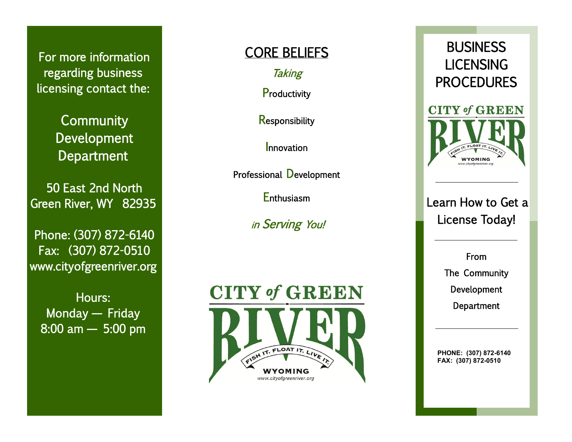For more information regarding business licensing contact the:

> **Community** Development **Department**

50 East 2nd North Green River, WY 82935

Phone: (307) 872 -6140 Fax: (307) 872 -0510 www.cityofgreenriver.org

Hours: Monday — Friday 8:00 am — 5:00 pm

## CORE BELIEFS

**Taking** 

**Productivity** 

**Responsibility** 

Innovation

Professional Development

**Enthusiasm** 

<sup>i</sup>n Serving You!





Learn How to Get a License Today!

> From The Community Development **Department**

**PHONE: (307) 872 -6140 FAX: (307) 872 -0510**